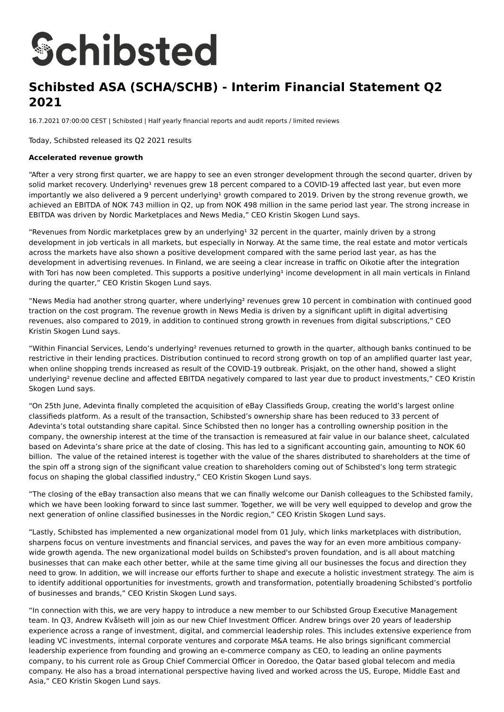# **Schibsted**

# **Schibsted ASA (SCHA/SCHB) - Interim Financial Statement Q2 2021**

16.7.2021 07:00:00 CEST | Schibsted | Half yearly financial reports and audit reports / limited reviews

Today, Schibsted released its Q2 2021 results

#### **Accelerated revenue growth**

"After a very strong first quarter, we are happy to see an even stronger development through the second quarter, driven by solid market recovery. Underlying<sup>1</sup> revenues grew 18 percent compared to a COVID-19 affected last year, but even more importantly we also delivered a 9 percent underlying<sup>1</sup> growth compared to 2019. Driven by the strong revenue growth, we achieved an EBITDA of NOK 743 million in Q2, up from NOK 498 million in the same period last year. The strong increase in EBITDA was driven by Nordic Marketplaces and News Media," CEO Kristin Skogen Lund says.

"Revenues from Nordic marketplaces grew by an underlying<sup>1</sup> 32 percent in the quarter, mainly driven by a strong development in job verticals in all markets, but especially in Norway. At the same time, the real estate and motor verticals across the markets have also shown a positive development compared with the same period last year, as has the development in advertising revenues. In Finland, we are seeing a clear increase in traffic on Oikotie after the integration with Tori has now been completed. This supports a positive underlying<sup>1</sup> income development in all main verticals in Finland during the quarter," CEO Kristin Skogen Lund says.

"News Media had another strong quarter, where underlying² revenues grew 10 percent in combination with continued good traction on the cost program. The revenue growth in News Media is driven by a significant uplift in digital advertising revenues, also compared to 2019, in addition to continued strong growth in revenues from digital subscriptions," CEO Kristin Skogen Lund says.

"Within Financial Services, Lendo's underlying² revenues returned to growth in the quarter, although banks continued to be restrictive in their lending practices. Distribution continued to record strong growth on top of an amplified quarter last year, when online shopping trends increased as result of the COVID-19 outbreak. Prisjakt, on the other hand, showed a slight underlying<sup>2</sup> revenue decline and affected EBITDA negatively compared to last year due to product investments," CEO Kristin Skogen Lund says.

"On 25th June, Adevinta finally completed the acquisition of eBay Classifieds Group, creating the world's largest online classifieds platform. As a result of the transaction, Schibsted's ownership share has been reduced to 33 percent of Adevinta's total outstanding share capital. Since Schibsted then no longer has a controlling ownership position in the company, the ownership interest at the time of the transaction is remeasured at fair value in our balance sheet, calculated based on Adevinta's share price at the date of closing. This has led to a significant accounting gain, amounting to NOK 60 billion. The value of the retained interest is together with the value of the shares distributed to shareholders at the time of the spin off a strong sign of the significant value creation to shareholders coming out of Schibsted's long term strategic focus on shaping the global classified industry," CEO Kristin Skogen Lund says.

"The closing of the eBay transaction also means that we can finally welcome our Danish colleagues to the Schibsted family, which we have been looking forward to since last summer. Together, we will be very well equipped to develop and grow the next generation of online classified businesses in the Nordic region," CEO Kristin Skogen Lund says.

"Lastly, Schibsted has implemented a new organizational model from 01 July, which links marketplaces with distribution, sharpens focus on venture investments and financial services, and paves the way for an even more ambitious companywide growth agenda. The new organizational model builds on Schibsted's proven foundation, and is all about matching businesses that can make each other better, while at the same time giving all our businesses the focus and direction they need to grow. In addition, we will increase our efforts further to shape and execute a holistic investment strategy. The aim is to identify additional opportunities for investments, growth and transformation, potentially broadening Schibsted's portfolio of businesses and brands," CEO Kristin Skogen Lund says.

"In connection with this, we are very happy to introduce a new member to our Schibsted Group Executive Management team. In Q3, Andrew Kvålseth will join as our new Chief Investment Officer. Andrew brings over 20 years of leadership experience across a range of investment, digital, and commercial leadership roles. This includes extensive experience from leading VC investments, internal corporate ventures and corporate M&A teams. He also brings significant commercial leadership experience from founding and growing an e-commerce company as CEO, to leading an online payments company, to his current role as Group Chief Commercial Officer in Ooredoo, the Qatar based global telecom and media company. He also has a broad international perspective having lived and worked across the US, Europe, Middle East and Asia," CEO Kristin Skogen Lund says.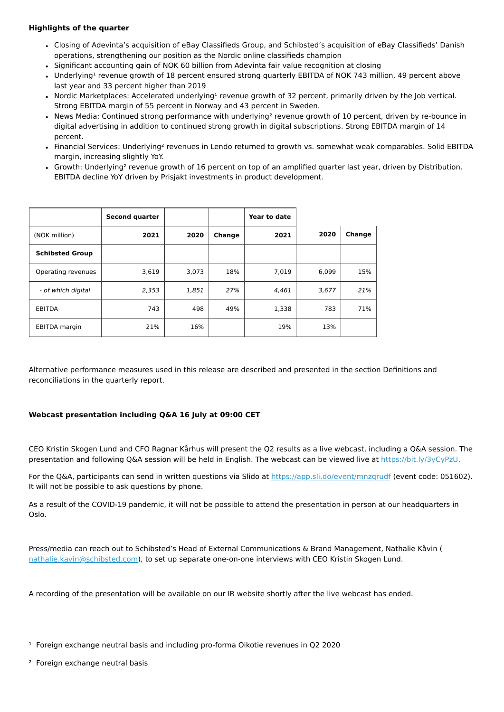#### **Highlights of the quarter**

- Closing of Adevinta's acquisition of eBay Classifieds Group, and Schibsted's acquisition of eBay Classifieds' Danish operations, strengthening our position as the Nordic online classifieds champion
- Significant accounting gain of NOK 60 billion from Adevinta fair value recognition at closing
- Underlying<sup>1</sup> revenue growth of 18 percent ensured strong quarterly EBITDA of NOK 743 million, 49 percent above last year and 33 percent higher than 2019
- Nordic Marketplaces: Accelerated underlying<sup>1</sup> revenue growth of 32 percent, primarily driven by the Job vertical. Strong EBITDA margin of 55 percent in Norway and 43 percent in Sweden.
- News Media: Continued strong performance with underlying<sup>2</sup> revenue growth of 10 percent, driven by re-bounce in digital advertising in addition to continued strong growth in digital subscriptions. Strong EBITDA margin of 14 percent.
- Financial Services: Underlying² revenues in Lendo returned to growth vs. somewhat weak comparables. Solid EBITDA margin, increasing slightly YoY.
- Growth: Underlying² revenue growth of 16 percent on top of an amplified quarter last year, driven by Distribution. EBITDA decline YoY driven by Prisjakt investments in product development.

|                        | <b>Second quarter</b> |       |        | Year to date |       |        |
|------------------------|-----------------------|-------|--------|--------------|-------|--------|
| (NOK million)          | 2021                  | 2020  | Change | 2021         | 2020  | Change |
| <b>Schibsted Group</b> |                       |       |        |              |       |        |
| Operating revenues     | 3,619                 | 3,073 | 18%    | 7,019        | 6,099 | 15%    |
| - of which digital     | 2,353                 | 1,851 | 27%    | 4,461        | 3,677 | 21%    |
| <b>EBITDA</b>          | 743                   | 498   | 49%    | 1,338        | 783   | 71%    |
| <b>EBITDA</b> margin   | 21%                   | 16%   |        | 19%          | 13%   |        |

Alternative performance measures used in this release are described and presented in the section Definitions and reconciliations in the quarterly report.

#### **Webcast presentation including Q&A 16 July at 09:00 CET**

CEO Kristin Skogen Lund and CFO Ragnar Kårhus will present the Q2 results as a live webcast, including a Q&A session. The presentation and following Q&A session will be held in English. The webcast can be viewed live at <https://bit.ly/3yCyPzU>.

For the Q&A, participants can send in written questions via Slido at<https://app.sli.do/event/mnzqrudf> (event code: 051602). It will not be possible to ask questions by phone.

As a result of the COVID-19 pandemic, it will not be possible to attend the presentation in person at our headquarters in Oslo.

Press/media can reach out to Schibsted's Head of External Communications & Brand Management, Nathalie Kåvin ( [nathalie.kavin@schibsted.com\)](mailto:nathalie.kavin@schibsted.com), to set up separate one-on-one interviews with CEO Kristin Skogen Lund.

A recording of the presentation will be available on our IR website shortly after the live webcast has ended.

 $1$  Foreign exchange neutral basis and including pro-forma Oikotie revenues in Q2 2020

² Foreign exchange neutral basis